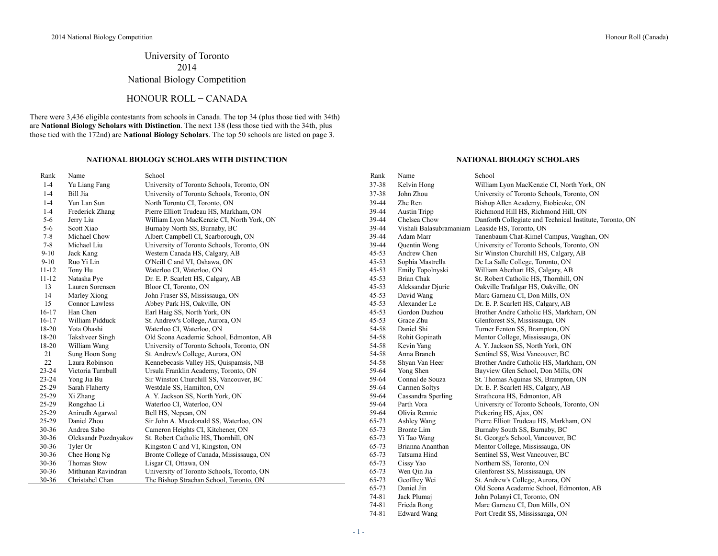$\overline{\phantom{0}}$ 

# University of Toronto 2014 National Biology Competition

## HONOUR ROLL − CANADA

There were 3,436 eligible contestants from schools in Canada. The top 34 (plus those tied with 34th) are **National Biology Scholars with Distinction**. The next 138 (less those tied with the 34th, plus those tied with the 172nd) are **National Biology Scholars**. The top 50 schools are listed on page 3.

### **NATIONAL BIOLOGY SCHOLARS WITH DISTINCTION NATIONAL BIOLOGY SCHOLARS**

| Rank      | Name                  | School                                     | Rank      | Name                                            | School                                                   |
|-----------|-----------------------|--------------------------------------------|-----------|-------------------------------------------------|----------------------------------------------------------|
| $1 - 4$   | Yu Liang Fang         | University of Toronto Schools, Toronto, ON | 37-38     | Kelvin Hong                                     | William Lyon MacKenzie CI, North York, ON                |
| $1 - 4$   | Bill Jia              | University of Toronto Schools, Toronto, ON | 37-38     | John Zhou                                       | University of Toronto Schools, Toronto, ON               |
| $1 - 4$   | Yun Lan Sun           | North Toronto CI, Toronto, ON              | 39-44     | Zhe Ren                                         | Bishop Allen Academy, Etobicoke, ON                      |
| $1 - 4$   | Frederick Zhang       | Pierre Elliott Trudeau HS, Markham, ON     | 39-44     | <b>Austin Tripp</b>                             | Richmond Hill HS, Richmond Hill, ON                      |
| $5 - 6$   | Jerry Liu             | William Lyon MacKenzie CI, North York, ON  | 39-44     | Chelsea Chow                                    | Danforth Collegiate and Technical Institute, Toronto, ON |
| $5 - 6$   | Scott Xiao            | Burnaby North SS, Burnaby, BC              | 39-44     | Vishali Balasubramaniam Leaside HS, Toronto, ON |                                                          |
| $7 - 8$   | Michael Chow          | Albert Campbell CI, Scarborough, ON        | 39-44     | Adam Marr                                       | Tanenbaum Chat-Kimel Campus, Vaughan, ON                 |
| $7 - 8$   | Michael Liu           | University of Toronto Schools, Toronto, ON | 39-44     | Quentin Wong                                    | University of Toronto Schools, Toronto, ON               |
| $9 - 10$  | Jack Kang             | Western Canada HS, Calgary, AB             | $45 - 53$ | Andrew Chen                                     | Sir Winston Churchill HS, Calgary, AB                    |
| $9 - 10$  | Ruo Yi Lin            | O'Neill C and VI, Oshawa, ON               | $45 - 53$ | Sophia Mastrella                                | De La Salle College, Toronto, ON                         |
| $11 - 12$ | Tony Hu               | Waterloo CI, Waterloo, ON                  | $45 - 53$ | Emily Topolnyski                                | William Aberhart HS, Calgary, AB                         |
| $11 - 12$ | Natasha Pye           | Dr. E. P. Scarlett HS, Calgary, AB         | $45 - 53$ | <b>Brian Chak</b>                               | St. Robert Catholic HS, Thornhill, ON                    |
| 13        | Lauren Sorensen       | Bloor CI, Toronto, ON                      | $45 - 53$ | Aleksandar Djuric                               | Oakville Trafalgar HS, Oakville, ON                      |
| 14        | Marley Xiong          | John Fraser SS, Mississauga, ON            | $45 - 53$ | David Wang                                      | Marc Garneau CI, Don Mills, ON                           |
| 15        | <b>Connor Lawless</b> | Abbey Park HS, Oakville, ON                | $45 - 53$ | Alexander Le                                    | Dr. E. P. Scarlett HS, Calgary, AB                       |
| $16-17$   | Han Chen              | Earl Haig SS, North York, ON               | $45 - 53$ | Gordon Duzhou                                   | Brother Andre Catholic HS, Markham, ON                   |
| $16-17$   | William Pidduck       | St. Andrew's College, Aurora, ON           | $45 - 53$ | Grace Zhu                                       | Glenforest SS, Mississauga, ON                           |
| 18-20     | Yota Ohashi           | Waterloo CI, Waterloo, ON                  | 54-58     | Daniel Shi                                      | Turner Fenton SS, Brampton, ON                           |
| 18-20     | Takshveer Singh       | Old Scona Academic School, Edmonton, AB    | 54-58     | Rohit Gopinath                                  | Mentor College, Mississauga, ON                          |
| 18-20     | William Wang          | University of Toronto Schools, Toronto, ON | 54-58     | Kevin Yang                                      | A. Y. Jackson SS, North York, ON                         |
| 21        | Sung Hoon Song        | St. Andrew's College, Aurora, ON           | 54-58     | Anna Branch                                     | Sentinel SS, West Vancouver, BC                          |
| 22        | Laura Robinson        | Kennebecasis Valley HS, Quispamsis, NB     | 54-58     | Shyan Van Heer                                  | Brother Andre Catholic HS, Markham, ON                   |
| 23-24     | Victoria Turnbull     | Ursula Franklin Academy, Toronto, ON       | 59-64     | Yong Shen                                       | Bayview Glen School, Don Mills, ON                       |
| 23-24     | Yong Jia Bu           | Sir Winston Churchill SS, Vancouver, BC    | 59-64     | Connal de Souza                                 | St. Thomas Aquinas SS, Brampton, ON                      |
| 25-29     | Sarah Flaherty        | Westdale SS, Hamilton, ON                  | 59-64     | Carmen Soltys                                   | Dr. E. P. Scarlett HS, Calgary, AB                       |
| 25-29     | Xi Zhang              | A. Y. Jackson SS, North York, ON           | 59-64     | Cassandra Sperling                              | Strathcona HS, Edmonton, AB                              |
| 25-29     | Rongzhao Li           | Waterloo CI, Waterloo, ON                  | 59-64     | Parth Vora                                      | University of Toronto Schools, Toronto, ON               |
| 25-29     | Anirudh Agarwal       | Bell HS, Nepean, ON                        | 59-64     | Olivia Rennie                                   | Pickering HS, Ajax, ON                                   |
| 25-29     | Daniel Zhou           | Sir John A. Macdonald SS, Waterloo, ON     | 65-73     | Ashley Wang                                     | Pierre Elliott Trudeau HS, Markham, ON                   |
| 30-36     | Andrea Sabo           | Cameron Heights CI, Kitchener, ON          | 65-73     | <b>Bronte Lim</b>                               | Burnaby South SS, Burnaby, BC                            |
| $30 - 36$ | Oleksandr Pozdnyakov  | St. Robert Catholic HS, Thornhill, ON      | 65-73     | Yi Tao Wang                                     | St. George's School, Vancouver, BC                       |
| $30 - 36$ | Tyler Or              | Kingston C and VI, Kingston, ON            | 65-73     | Brianna Ananthan                                | Mentor College, Mississauga, ON                          |
| $30 - 36$ | Chee Hong Ng          | Bronte College of Canada, Mississauga, ON  | 65-73     | Tatsuma Hind                                    | Sentinel SS, West Vancouver, BC                          |
| $30 - 36$ | Thomas Stow           | Lisgar CI, Ottawa, ON                      | 65-73     | Cissy Yao                                       | Northern SS, Toronto, ON                                 |
| 30-36     | Mithunan Ravindran    | University of Toronto Schools, Toronto, ON | 65-73     | Wen Qin Jia                                     | Glenforest SS, Mississauga, ON                           |
| $30 - 36$ | Christabel Chan       | The Bishop Strachan School, Toronto, ON    | 65-73     | Geoffrey Wei                                    | St. Andrew's College, Aurora, ON                         |
|           |                       |                                            | 65-73     | Daniel Jin                                      | Old Scona Academic School, Edmonton, AB                  |
|           |                       |                                            | 74-81     | Jack Plumai                                     | John Polanyi CI, Toronto, ON                             |

74-81 Frieda Rong Marc Garneau CI, Don Mills, ON 74-81 Edward Wang Port Credit SS, Mississauga, ON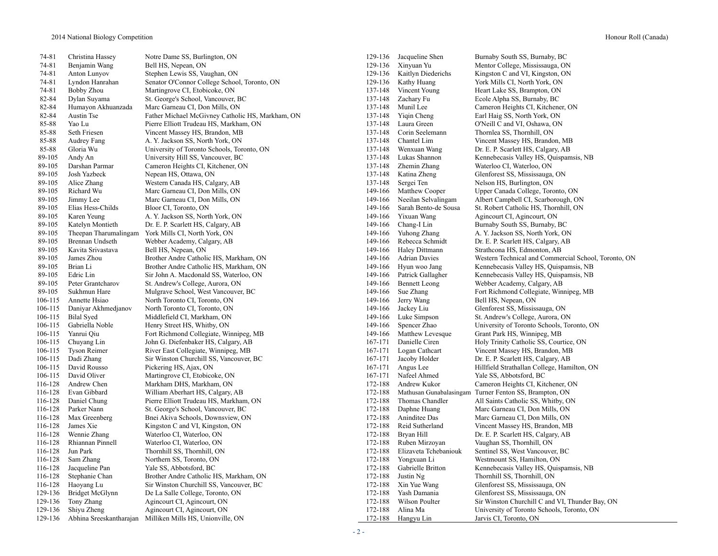74-81 Christina Hassey Notre Dame SS, Burlington, ON 129-136 Jacqueline Shen Burnaby South SS, Burnaby, BC 74-81 Benjamin Wang Bell HS, Nepean, ON 129-136 Xinyuan Yu Mentor College, Mississauga, ON 74-81 Anton Lunyov Stephen Lewis SS, Vaughan, ON 129-136 Kaitlyn Diederichs Kingston C and VI, Kingston, ON 74-81 Lyndon Hanrahan Senator O'Connor College School, Toronto, ON 129-136 Kathy Huang York Mills CI, North York, ON 74-81 Bobby Zhou Martingrove CI, Etobicoke, ON 137-148 Vincent Young Heart Lake SS, Brampton, ON 82-84 Dylan Suyama St. George's School, Vancouver, BC 137-148 Zachary Fu Ecole Alpha SS, Burnaby, BC 82-84 Humayon Akhuanzada Marc Garneau CI, Don Mills, ON 137-148 Munil Lee Cameron Heights CI, Kitchener, ON 82-84 Austin Tse Father Michael McGivney Catholic HS, Markham, ON 137-148 Yiqin Cheng Earl Haig SS, North York, ON 85-88 Yao Lu Pierre Elliott Trudeau HS, Markham, ON 137-148 Laura Green O'Neill C and VI, Oshawa, ON 85-88 Seth Friesen Vincent Massey HS, Brandon, MB 137-148 Corin Seelemann Thornlea SS, Thornhill, ON 85-88 Audrey Fang A. Y. Jackson SS, North York, ON 137-148 Chantel Lim Vincent Massey HS, Brandon, MB 85-88 Gloria Wu University of Toronto Schools, Toronto, ON 137-148 Wenxuan Wang Dr. E. P. Scarlett HS, Calgary, AB 89-105 Andy An University Hill SS, Vancouver, BC 137-148 Lukas Shannon Kennebecasis Valley HS, Quispamsis, NB 89-105 Darshan Parmar Cameron Heights CI, Kitchener, ON 137-148 Zhemin Zhang Waterloo CI, Waterloo, ON 137-148 Zhemin Zhang Waterloo CI, Waterloo, ON 137-148 Zhemin Zhang Glenforest SS, Mississauga 89-105 Josh Yazbeck Nepean HS, Ottawa, ON 137-148 Katina Zheng Glenforest SS, Mississauga, ON 89-105 Alice Zhang Western Canada HS, Calgary, AB 137-148 Sergei Ten Nelson HS, Burlington, ON 89-105 Richard Wu Marc Garneau CI, Don Mills, ON 149-166 Matthew Cooper Upper Canada College, Toronto, ON 149-166 Meetian Selvalingam Albert Campbell CI, Scarborough, O 89-105 Jimmy Lee Marc Garneau CI, Don Mills, ON 149-166 Neeilan Selvalingam Albert Campbell CI, Scarborough, ON 89-105 Elias Hess-Childs Bloor CI, Toronto, ON 149-166 Sarah Bento-de Sousa St. Robert Catholic HS, Thornhill, ON 89-105 Karen Yeung A. Y. Jackson SS, North York, ON 149-166 Yixuan Wang Agincourt CI, Agincourt, ON 89-105 Katelyn Montieth Dr. E. P. Scarlett HS, Calgary, AB 149-166 Chang-I Lin Burnaby South SS, Burnaby, BC 89-105 Theepan Tharumalingam York Mills CI, North York, ON 149-166 Yuhong Zhang A. Y. Jackson SS, North York, ON 89-105 Brennan Undseth Webber Academy, Calgary, AB 149-166 Rebecca Schmidt Dr. E. P. Scarlett HS, Calgary, AB 89-105 Kavita Srivastava Bell HS, Nepean, ON 149-166 Haley Dittmann Strathcona HS, Edmonton, AB 89-105 James Zhou Brother Andre Catholic HS, Markham, ON 149-166 Adrian Davies Western Technical and Commercial School, Toronto, ON 89-105 Brian Li Brother Andre Catholic HS, Markham, ON 149-166 Hyun woo Jang Kennebecasis Valley HS, Quispamsis, NB 89-105 Edric Lin Sir John A. Macdonald SS, Waterloo, ON 149-166 Patrick Gallagher Kennebecasis Valley HS, Quispamsis, NB 89-105 Peter Grantcharov St. Andrew's College, Aurora, ON 149-166 Bennett Leong Webber Academy, Calgary, AB 89-105 Sukhmun Hare Mulgrave School, West Vancouver, BC 149-166 Sue Zhang Fort Richmond Collegiate, Winnipeg, MB 106-115 Annette Hsiao North Toronto CI, Toronto, ON 149-166 Jerry Wang Bell HS, Nepean, ON 106-115 Daniyar Akhmedjanov North Toronto CI, Toronto, ON 149-166 Jackey Liu Glenforest SS, Mississauga, ON 106-115 Bilal Syed Middlefield CI, Markham, ON 149-166 Luke Simpson St. Andrew's College, Aurora, ON 106-115 Gabriella Noble Henry Street HS, Whitby, ON 149-166 Spencer Zhao University of Toronto Schools, Toronto, ON 106-115 Yanrui Qiu Fort Richmond Collegiate, Winnipeg, MB 149-166 Matthew Levesque Grant Park HS, Winnipeg, MB 106-115 Chuyang Lin John G. Diefenbaker HS, Calgary, AB 167-171 Danielle Ciren Holy Trinity Catholic SS, Courtice, ON 106-115 Tyson Reimer River East Collegiate, Winnipeg, MB 167-171 Logan Cathcart Vincent Massey HS, Brandon, MB 106-115 Dadi Zhang Sir Winston Churchill SS, Vancouver, BC 167-171 Jacoby Holder Dr. E. P. Scarlett HS, Calgary, AB 106-115 David Rousso Pickering HS, Ajax, ON 167-171 Angus Lee Hillfield Strathallan College, Hamilton, ON 106-115 David Oliver Martingrove CI, Etobicoke, ON 167-171 Nafeel Ahmed Yale SS, Abbotsford, BC 116-128 Andrew Chen Markham DHS, Markham, ON 172-188 Andrew Kukor Cameron Heights CI, Kitchener, ON 116-128 Evan Gibbard William Aberhart HS, Calgary, AB 172-188 Mathusan Gunabalasingam Turner Fenton SS, Brampton, ON 116-128 Daniel Chung Pierre Elliott Trudeau HS, Markham, ON 172-188 Thomas Chandler All Saints Catholic SS, Whitby, ON 116-128 Parker Nann St. George's School, Vancouver, BC 172-188 Daphne Huang Marc Garneau CI, Don Mills, ON 116-128 Max Greenberg Bnei Akiva Schools, Downsview, ON 172-188 Aninditee Das Marc Garneau CI, Don Mills, ON 116-128 James Xie Kingston C and VI, Kingston, ON 172-188 Reid Sutherland Vincent Massey HS, Brandon, MB 116-128 Wennie Zhang Waterloo CI, Waterloo, ON 172-188 Bryan Hill Dr. E. P. Scarlett HS, Calgary, AB 116-128 Rhiannan Pinnell Waterloo CI, Waterloo, ON 172-188 Ruben Mirzoyan Vaughan SS, Thornhill, ON 116-128 Jun Park Thornhill SS, Thornhill, ON 172-188 Elizaveta Tchebaniouk Sentinel SS, West Vancouver, BC 116-128 Sam Zhang Northern SS, Toronto, ON 172-188 Yongxuan Li Westmount SS, Hamilton, ON 116-128 Jacqueline Pan Yale SS, Abbotsford, BC 172-188 Gabrielle Britton Kennebecasis Valley HS, Quispamsis, NB 116-128 Stephanie Chan Brother Andre Catholic HS, Markham, ON 172-188 Justin Ng Thornhill SS, Thornhill, ON 116-128 Haoyang Lu Sir Winston Churchill SS, Vancouver, BC 172-188 Xin Yue Wang Glenforest SS, Mississauga, ON<br>129-136 Bridget McGlynn De La Salle College, Toronto, ON 172-188 Yash Damania Glenforest SS, Mississauga, ON 129-136 Bridget McGlynn De La Salle College, Toronto, ON 172-188 Yash Damania Glenforest SS, Mississauga, ON 129-136 Tony Zhang Agincourt CI, Agincourt, ON 172-188 Wilson Poulter Sir Winston Churchill C and VI, Thunder Bay, ON 129-136 Shiyu Zheng Agincourt CI, Agincourt, ON 172-188 Alina Ma University of Toronto Schools, Toronto, ON 129-136 Abhina Sreeskantharajan Milliken Mills HS, Unionville, ON 172-188 Hangyu Lin Jarvis CI, Toronto, ON